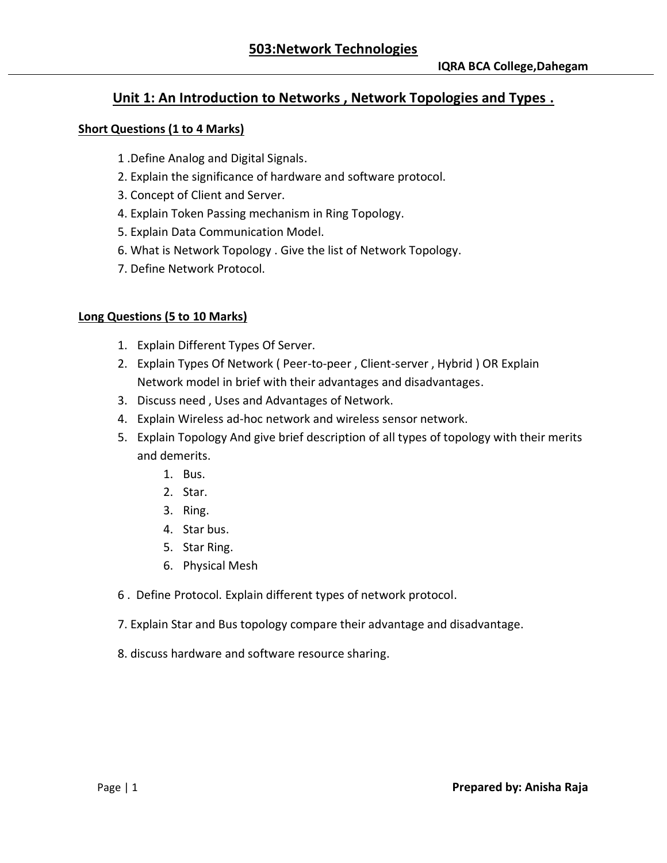### **Unit 1: An Introduction to Networks , Network Topologies and Types .**

#### **Short Questions (1 to 4 Marks)**

- 1 .Define Analog and Digital Signals.
- 2. Explain the significance of hardware and software protocol.
- 3. Concept of Client and Server.
- 4. Explain Token Passing mechanism in Ring Topology.
- 5. Explain Data Communication Model.
- 6. What is Network Topology . Give the list of Network Topology.
- 7. Define Network Protocol.

#### **Long Questions (5 to 10 Marks)**

- 1. Explain Different Types Of Server.
- 2. Explain Types Of Network ( Peer-to-peer , Client-server , Hybrid ) OR Explain Network model in brief with their advantages and disadvantages.
- 3. Discuss need , Uses and Advantages of Network.
- 4. Explain Wireless ad-hoc network and wireless sensor network.
- 5. Explain Topology And give brief description of all types of topology with their merits and demerits.
	- 1. Bus.
	- 2. Star.
	- 3. Ring.
	- 4. Star bus.
	- 5. Star Ring.
	- 6. Physical Mesh
- 6 . Define Protocol. Explain different types of network protocol.
- 7. Explain Star and Bus topology compare their advantage and disadvantage.
- 8. discuss hardware and software resource sharing.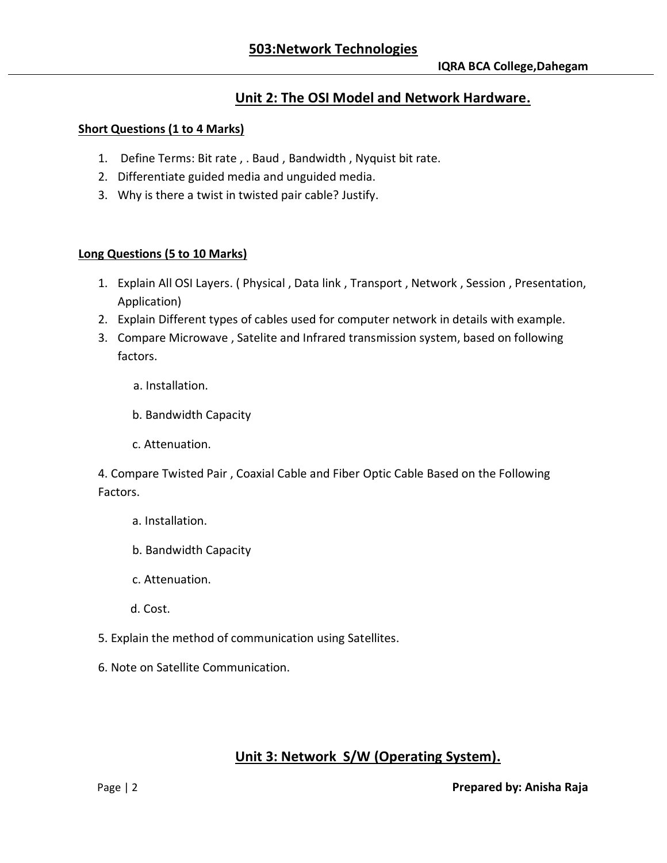## **Unit 2: The OSI Model and Network Hardware.**

### **Short Questions (1 to 4 Marks)**

- 1. Define Terms: Bit rate , . Baud , Bandwidth , Nyquist bit rate.
- 2. Differentiate guided media and unguided media.
- 3. Why is there a twist in twisted pair cable? Justify.

#### **Long Questions (5 to 10 Marks)**

- 1. Explain All OSI Layers. ( Physical , Data link , Transport , Network , Session , Presentation, Application)
- 2. Explain Different types of cables used for computer network in details with example.
- 3. Compare Microwave , Satelite and Infrared transmission system, based on following factors.
	- a. Installation.
	- b. Bandwidth Capacity
	- c. Attenuation.

4. Compare Twisted Pair , Coaxial Cable and Fiber Optic Cable Based on the Following Factors.

- a. Installation.
- b. Bandwidth Capacity
- c. Attenuation.
- d. Cost.
- 5. Explain the method of communication using Satellites.
- 6. Note on Satellite Communication.

## **Unit 3: Network S/W (Operating System).**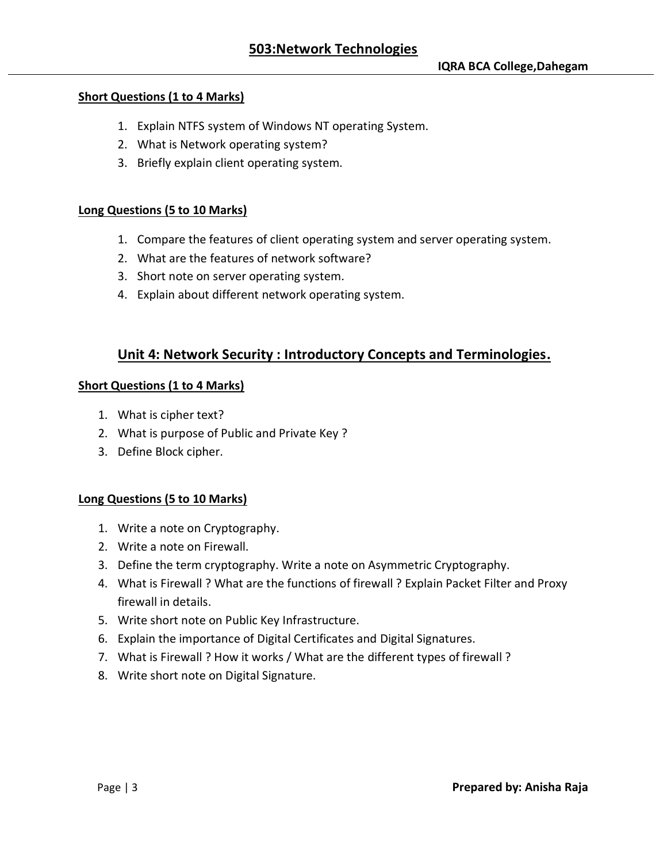### **Short Questions (1 to 4 Marks)**

- 1. Explain NTFS system of Windows NT operating System.
- 2. What is Network operating system?
- 3. Briefly explain client operating system.

### **Long Questions (5 to 10 Marks)**

- 1. Compare the features of client operating system and server operating system.
- 2. What are the features of network software?
- 3. Short note on server operating system.
- 4. Explain about different network operating system.

## **Unit 4: Network Security : Introductory Concepts and Terminologies.**

#### **Short Questions (1 to 4 Marks)**

- 1. What is cipher text?
- 2. What is purpose of Public and Private Key ?
- 3. Define Block cipher.

#### **Long Questions (5 to 10 Marks)**

- 1. Write a note on Cryptography.
- 2. Write a note on Firewall.
- 3. Define the term cryptography. Write a note on Asymmetric Cryptography.
- 4. What is Firewall ? What are the functions of firewall ? Explain Packet Filter and Proxy firewall in details.
- 5. Write short note on Public Key Infrastructure.
- 6. Explain the importance of Digital Certificates and Digital Signatures.
- 7. What is Firewall ? How it works / What are the different types of firewall ?
- 8. Write short note on Digital Signature.